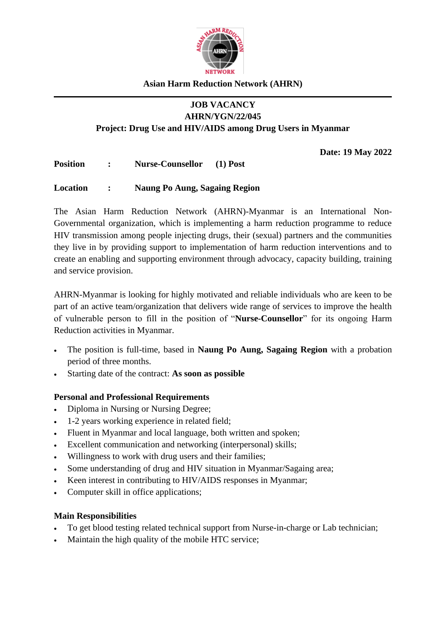

#### **Asian Harm Reduction Network (AHRN)**

#### **JOB VACANCY AHRN/YGN/22/045**

**Project: Drug Use and HIV/AIDS among Drug Users in Myanmar** 

**Date: 19 May 2022**

**Position : Nurse-Counsellor (1) Post**

#### **Location : Naung Po Aung, Sagaing Region**

The Asian Harm Reduction Network (AHRN)-Myanmar is an International Non-Governmental organization, which is implementing a harm reduction programme to reduce HIV transmission among people injecting drugs, their (sexual) partners and the communities they live in by providing support to implementation of harm reduction interventions and to create an enabling and supporting environment through advocacy, capacity building, training and service provision.

AHRN-Myanmar is looking for highly motivated and reliable individuals who are keen to be part of an active team/organization that delivers wide range of services to improve the health of vulnerable person to fill in the position of "**Nurse-Counsellor**" for its ongoing Harm Reduction activities in Myanmar.

- The position is full-time, based in **Naung Po Aung, Sagaing Region** with a probation period of three months.
- Starting date of the contract: **As soon as possible**

### **Personal and Professional Requirements**

- Diploma in Nursing or Nursing Degree:
- 1-2 years working experience in related field;
- Fluent in Myanmar and local language, both written and spoken;
- Excellent communication and networking (interpersonal) skills;
- Willingness to work with drug users and their families;
- Some understanding of drug and HIV situation in Myanmar/Sagaing area;
- Keen interest in contributing to HIV/AIDS responses in Myanmar;
- Computer skill in office applications;

#### **Main Responsibilities**

- To get blood testing related technical support from Nurse-in-charge or Lab technician;
- Maintain the high quality of the mobile HTC service;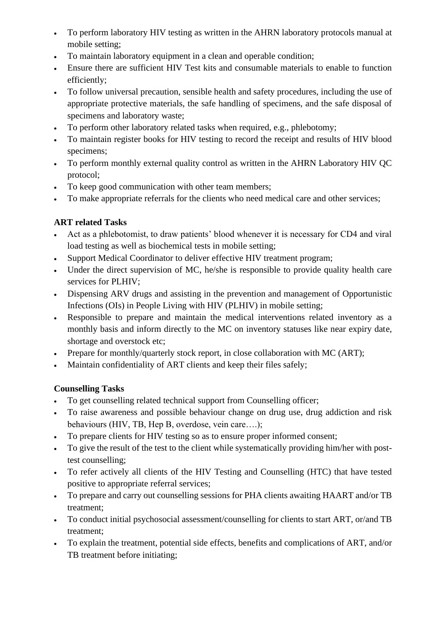- To perform laboratory HIV testing as written in the AHRN laboratory protocols manual at mobile setting;
- To maintain laboratory equipment in a clean and operable condition;
- Ensure there are sufficient HIV Test kits and consumable materials to enable to function efficiently;
- To follow universal precaution, sensible health and safety procedures, including the use of appropriate protective materials, the safe handling of specimens, and the safe disposal of specimens and laboratory waste;
- To perform other laboratory related tasks when required, e.g., phlebotomy;
- To maintain register books for HIV testing to record the receipt and results of HIV blood specimens;
- To perform monthly external quality control as written in the AHRN Laboratory HIV QC protocol;
- To keep good communication with other team members;
- To make appropriate referrals for the clients who need medical care and other services;

# **ART related Tasks**

- Act as a phlebotomist, to draw patients' blood whenever it is necessary for CD4 and viral load testing as well as biochemical tests in mobile setting;
- Support Medical Coordinator to deliver effective HIV treatment program;
- Under the direct supervision of MC, he/she is responsible to provide quality health care services for PLHIV;
- Dispensing ARV drugs and assisting in the prevention and management of Opportunistic Infections (OIs) in People Living with HIV (PLHIV) in mobile setting;
- Responsible to prepare and maintain the medical interventions related inventory as a monthly basis and inform directly to the MC on inventory statuses like near expiry date, shortage and overstock etc;
- Prepare for monthly/quarterly stock report, in close collaboration with MC (ART);
- Maintain confidentiality of ART clients and keep their files safely;

### **Counselling Tasks**

- To get counselling related technical support from Counselling officer;
- To raise awareness and possible behaviour change on drug use, drug addiction and risk behaviours (HIV, TB, Hep B, overdose, vein care….);
- To prepare clients for HIV testing so as to ensure proper informed consent;
- To give the result of the test to the client while systematically providing him/her with posttest counselling;
- To refer actively all clients of the HIV Testing and Counselling (HTC) that have tested positive to appropriate referral services;
- To prepare and carry out counselling sessions for PHA clients awaiting HAART and/or TB treatment;
- To conduct initial psychosocial assessment/counselling for clients to start ART, or/and TB treatment;
- To explain the treatment, potential side effects, benefits and complications of ART, and/or TB treatment before initiating;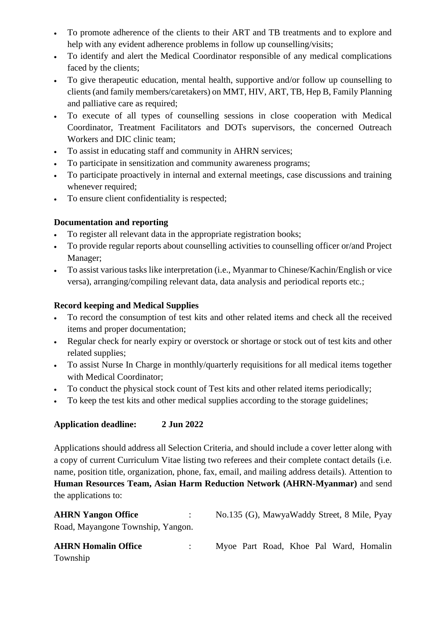- To promote adherence of the clients to their ART and TB treatments and to explore and help with any evident adherence problems in follow up counselling/visits;
- To identify and alert the Medical Coordinator responsible of any medical complications faced by the clients;
- To give therapeutic education, mental health, supportive and/or follow up counselling to clients (and family members/caretakers) on MMT, HIV, ART, TB, Hep B, Family Planning and palliative care as required;
- To execute of all types of counselling sessions in close cooperation with Medical Coordinator, Treatment Facilitators and DOTs supervisors, the concerned Outreach Workers and DIC clinic team;
- To assist in educating staff and community in AHRN services;
- To participate in sensitization and community awareness programs;
- To participate proactively in internal and external meetings, case discussions and training whenever required;
- To ensure client confidentiality is respected;

## **Documentation and reporting**

- To register all relevant data in the appropriate registration books;
- To provide regular reports about counselling activities to counselling officer or/and Project Manager;
- To assist various tasks like interpretation (i.e., Myanmar to Chinese/Kachin/English or vice versa), arranging/compiling relevant data, data analysis and periodical reports etc.;

## **Record keeping and Medical Supplies**

- To record the consumption of test kits and other related items and check all the received items and proper documentation;
- Regular check for nearly expiry or overstock or shortage or stock out of test kits and other related supplies;
- To assist Nurse In Charge in monthly/quarterly requisitions for all medical items together with Medical Coordinator;
- To conduct the physical stock count of Test kits and other related items periodically;
- To keep the test kits and other medical supplies according to the storage guidelines;

# **Application deadline: 2 Jun 2022**

Applications should address all Selection Criteria, and should include a cover letter along with a copy of current Curriculum Vitae listing two referees and their complete contact details (i.e. name, position title, organization, phone, fax, email, and mailing address details). Attention to **Human Resources Team, Asian Harm Reduction Network (AHRN-Myanmar)** and send the applications to:

| <b>AHRN Yangon Office</b>         | No.135 (G), MawyaWaddy Street, 8 Mile, Pyay |
|-----------------------------------|---------------------------------------------|
| Road, Mayangone Township, Yangon. |                                             |

| <b>AHRN Homalin Office</b> |  |  |  | Myoe Part Road, Khoe Pal Ward, Homalin |
|----------------------------|--|--|--|----------------------------------------|
| Township                   |  |  |  |                                        |